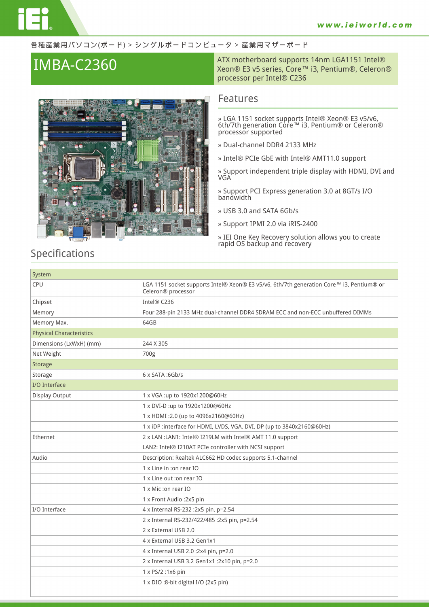#### 各種産業用パソコン(ボード) > シングルボードコンピュータ > 産業用マザーボード



## **IMBA-C2360** ATX motherboard supports 14nm LGA1151 Intel®<br>Xeon® E3 v5 series, Core™ i3, Pentium®, Celeron® processor per Intel® C236

### **Features**

**» LGA 1151 socket supports Intel® Xeon® E3 v5/v6, 6th/7th generation Core™ i3, Pentium® or Celeron® processor supported**

- **» Dual-channel DDR4 2133 MHz**
- **» Intel® PCIe GbE with Intel® AMT11.0 support**

**» Support independent triple display with HDMI, DVI and VGA**

**» Support PCI Express generation 3.0 at 8GT/s I/O bandwidth**

**» USB 3.0 and SATA 6Gb/s**

**» Support IPMI 2.0 via iRIS-2400**

**» IEI One Key Recovery solution allows you to create rapid OS backup and recovery**

## **Specifications**

| System                          |                                                                                                                |
|---------------------------------|----------------------------------------------------------------------------------------------------------------|
| CPU                             | LGA 1151 socket supports Intel® Xeon® E3 v5/v6, 6th/7th generation Core™ i3, Pentium® or<br>Celeron® processor |
| Chipset                         | Intel® C236                                                                                                    |
| Memory                          | Four 288-pin 2133 MHz dual-channel DDR4 SDRAM ECC and non-ECC unbuffered DIMMs                                 |
| Memory Max.                     | 64GB                                                                                                           |
| <b>Physical Characteristics</b> |                                                                                                                |
| Dimensions (LxWxH) (mm)         | 244 X 305                                                                                                      |
| Net Weight                      | 700g                                                                                                           |
| Storage                         |                                                                                                                |
| Storage                         | $6 \times$ SATA: $6$ Gb/s                                                                                      |
| I/O Interface                   |                                                                                                                |
| Display Output                  | 1 x VGA :up to 1920x1200@60Hz                                                                                  |
|                                 | 1 x DVI-D :up to 1920x1200@60Hz                                                                                |
|                                 | 1 x HDMI:2.0 (up to 4096x2160@60Hz)                                                                            |
|                                 | 1 x iDP :interface for HDMI, LVDS, VGA, DVI, DP (up to 3840x2160@60Hz)                                         |
| Ethernet                        | 2 x LAN : LAN1: Intel® I219LM with Intel® AMT 11.0 support                                                     |
|                                 | LAN2: Intel® I210AT PCIe controller with NCSI support                                                          |
| Audio                           | Description: Realtek ALC662 HD codec supports 5.1-channel                                                      |
|                                 | 1 x Line in :on rear IO                                                                                        |
|                                 | 1 x Line out :on rear IO                                                                                       |
|                                 | 1 x Mic: on rear IO                                                                                            |
|                                 | 1 x Front Audio : 2x5 pin                                                                                      |
| I/O Interface                   | 4 x Internal RS-232 :2x5 pin, p=2.54                                                                           |
|                                 | 2 x Internal RS-232/422/485 :2x5 pin, p=2.54                                                                   |
|                                 | 2 x External USB 2.0                                                                                           |
|                                 | 4 x External USB 3.2 Gen1x1                                                                                    |
|                                 | 4 x Internal USB 2.0 :2x4 pin, p=2.0                                                                           |
|                                 | 2 x Internal USB 3.2 Gen1x1 :2x10 pin, p=2.0                                                                   |
|                                 | 1 x PS/2:1x6 pin                                                                                               |
|                                 | 1 x DIO :8-bit digital I/O (2x5 pin)                                                                           |
|                                 |                                                                                                                |